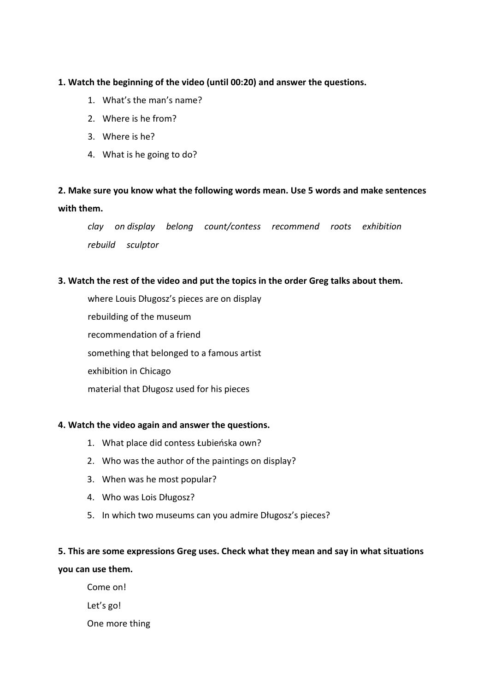### **1. Watch the beginning of the video (until 00:20) and answer the questions.**

- 1. What's the man's name?
- 2. Where is he from?
- 3. Where is he?
- 4. What is he going to do?

## **2. Make sure you know what the following words mean. Use 5 words and make sentences with them.**

*clay on display belong count/contess recommend roots exhibition rebuild sculptor*

### **3. Watch the rest of the video and put the topics in the order Greg talks about them.**

where Louis Długosz's pieces are on display rebuilding of the museum recommendation of a friend something that belonged to a famous artist exhibition in Chicago material that Długosz used for his pieces

#### **4. Watch the video again and answer the questions.**

- 1. What place did contess Łubieńska own?
- 2. Who was the author of the paintings on display?
- 3. When was he most popular?
- 4. Who was Lois Długosz?
- 5. In which two museums can you admire Długosz's pieces?

# **5. This are some expressions Greg uses. Check what they mean and say in what situations you can use them.**

Come on! Let's go! One more thing